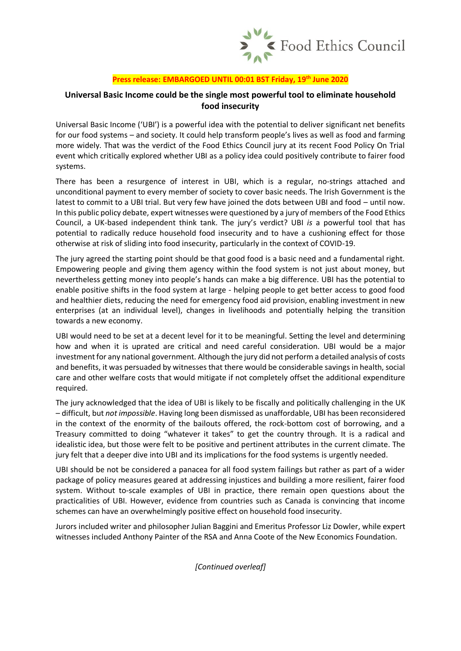

## **Press release: EMBARGOED UNTIL 00:01 BST Friday, 19th June 2020**

## **Universal Basic Income could be the single most powerful tool to eliminate household food insecurity**

Universal Basic Income ('UBI') is a powerful idea with the potential to deliver significant net benefits for our food systems – and society. It could help transform people's lives as well as food and farming more widely. That was the verdict of the Food Ethics Council jury at its recent Food Policy On Trial event which critically explored whether UBI as a policy idea could positively contribute to fairer food systems.

There has been a resurgence of interest in UBI, which is a regular, no-strings attached and unconditional payment to every member of society to cover basic needs. The Irish Government is the latest to commit to a UBI trial. But very few have joined the dots between UBI and food – until now. In this public policy debate, expert witnesses were questioned by a jury of members of the Food Ethics Council, a UK-based independent think tank. The jury's verdict? UBI *is* a powerful tool that has potential to radically reduce household food insecurity and to have a cushioning effect for those otherwise at risk of sliding into food insecurity, particularly in the context of COVID-19.

The jury agreed the starting point should be that good food is a basic need and a fundamental right. Empowering people and giving them agency within the food system is not just about money, but nevertheless getting money into people's hands can make a big difference. UBI has the potential to enable positive shifts in the food system at large - helping people to get better access to good food and healthier diets, reducing the need for emergency food aid provision, enabling investment in new enterprises (at an individual level), changes in livelihoods and potentially helping the transition towards a new economy.

UBI would need to be set at a decent level for it to be meaningful. Setting the level and determining how and when it is uprated are critical and need careful consideration. UBI would be a major investment for any national government. Although the jury did not perform a detailed analysis of costs and benefits, it was persuaded by witnesses that there would be considerable savings in health, social care and other welfare costs that would mitigate if not completely offset the additional expenditure required.

The jury acknowledged that the idea of UBI is likely to be fiscally and politically challenging in the UK – difficult, but *not impossible*. Having long been dismissed as unaffordable, UBI has been reconsidered in the context of the enormity of the bailouts offered, the rock-bottom cost of borrowing, and a Treasury committed to doing "whatever it takes" to get the country through. It is a radical and idealistic idea, but those were felt to be positive and pertinent attributes in the current climate. The jury felt that a deeper dive into UBI and its implications for the food systems is urgently needed.

UBI should be not be considered a panacea for all food system failings but rather as part of a wider package of policy measures geared at addressing injustices and building a more resilient, fairer food system. Without to-scale examples of UBI in practice, there remain open questions about the practicalities of UBI. However, evidence from countries such as Canada is convincing that income schemes can have an overwhelmingly positive effect on household food insecurity.

Jurors included writer and philosopher Julian Baggini and Emeritus Professor Liz Dowler, while expert witnesses included Anthony Painter of the RSA and Anna Coote of the New Economics Foundation.

*[Continued overleaf]*